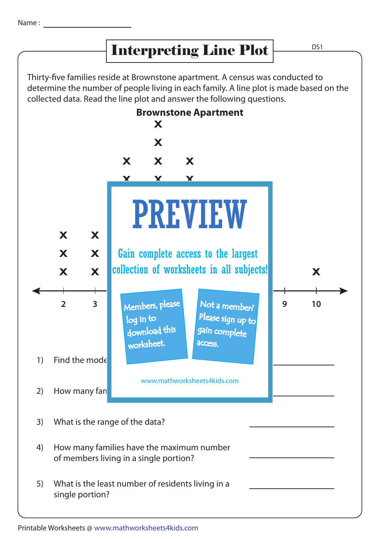## Interpreting Line Plot

D<sub>S1</sub>

Thirty-five families reside at Brownstone apartment. A census was conducted to determine the number of people living in each family. A line plot is made based on the collected data. Read the line plot and answer the following questions.



Printable Worksheets @ www.mathworksheets4kids.com